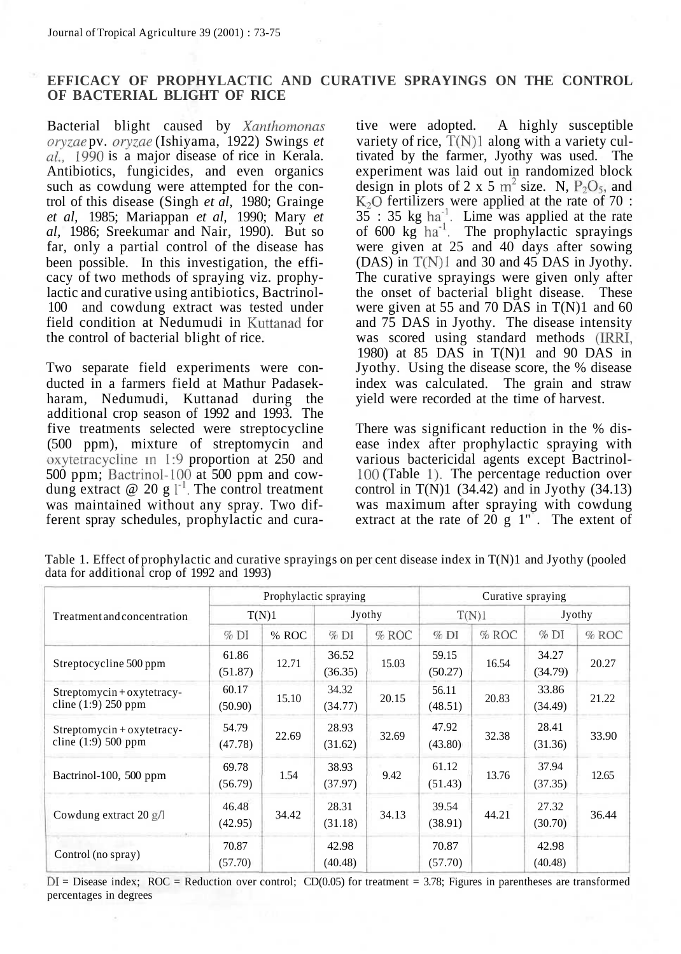## **EFFICACY OF PROPHYLACTIC AND CURATIVE SPRAYINGS ON THE CONTROL OF BACTERIAL BLIGHT OF RICE**

Bacterial blight caused by *Xanthomonas oryzae* pv. *oryzae* (Ishiyama, 1922) Swings *et al,* 1990 is a major disease of rice in Kerala. Antibiotics, fungicides, and even organics such as cowdung were attempted for the control of this disease (Singh *et al,* 1980; Grainge *et al,* 1985; Mariappan *et al,* 1990; Mary *et al,* 1986; Sreekumar and Nair, 1990). But so far, only a partial control of the disease has been possible. In this investigation, the efficacy of two methods of spraying viz. prophylactic and curative using antibiotics, Bactrinol-100 and cowdung extract was tested under field condition at Nedumudi in Kuttanad for the control of bacterial blight of rice.

Two separate field experiments were conducted in a farmers field at Mathur Padasekharam, Nedumudi, Kuttanad during the additional crop season of 1992 and 1993. The five treatments selected were streptocycline (500 ppm), mixture of streptomycin and oxytetracycline in 1:9 proportion at 250 and 500 ppm; Bactrinol-100 at 500 ppm and cowdung extract  $\omega$  20 g  $l^{-1}$ . The control treatment was maintained without any spray. Two different spray schedules, prophylactic and cura-

tive were adopted. A highly susceptible variety of rice,  $T(N)1$  along with a variety cultivated by the farmer, Jyothy was used. The experiment was laid out in randomized block design in plots of 2 x 5  $m^2$  size. N, P<sub>2</sub>O<sub>5</sub>, and  $K<sub>2</sub>O$  fertilizers were applied at the rate of 70 :  $35 : 35 kg ha<sup>-1</sup>$ . Lime was applied at the rate of 600 kg  $ha^{-1}$ . The prophylactic sprayings were given at 25 and 40 days after sowing (DAS) in  $T(N)1$  and 30 and 45 DAS in Jyothy. The curative sprayings were given only after the onset of bacterial blight disease. These were given at 55 and 70 DAS in  $T(N)1$  and 60 and 75 DAS in Jyothy. The disease intensity was scored using standard methods (IRRI, 1980) at 85 DAS in T(N)1 and 90 DAS in Jyothy. Using the disease score, the % disease index was calculated. The grain and straw yield were recorded at the time of harvest.

There was significant reduction in the % disease index after prophylactic spraying with various bactericidal agents except Bactrinol-100 (Table 1). The percentage reduction over control in  $T(N)1$  (34.42) and in Jyothy (34.13) was maximum after spraying with cowdung extract at the rate of 20 g  $1"$ . The extent of

Table 1. Effect of prophylactic and curative sprayings on per cent disease index in T(N)1 and Jyothy (pooled data for additional crop of 1992 and 1993)

|                                                        |                           | Prophylactic spraying |                  |         | Curative spraying |         |                  |       |  |
|--------------------------------------------------------|---------------------------|-----------------------|------------------|---------|-------------------|---------|------------------|-------|--|
| Treatment and concentration                            | T(N)1                     |                       |                  | Jyothy  |                   | T(N)1   | Jyothy           |       |  |
|                                                        | $%$ DI                    | % ROC                 | %DI              | $%$ ROC | $%$ DI            | $%$ ROC | %DI              | % ROC |  |
| Streptocycline 500 ppm                                 | 61.86<br>12.71<br>(51.87) |                       | 36.52<br>(36.35) | 15.03   | 59.15<br>(50.27)  | 16.54   | 34.27<br>(34.79) | 20.27 |  |
| Streptomycin+oxytetracy-<br>cline $(1:9)$ 250 ppm      | 60.17<br>(50.90)          | 15.10                 | 34.32<br>(34.77) | 20.15   | 56.11<br>(48.51)  | 20.83   | 33.86<br>(34.49) | 21.22 |  |
| $Streptomycin + oxytetracy -$<br>cline $(1:9)$ 500 ppm | 54.79<br>(47.78)          | 22.69                 | 28.93<br>(31.62) | 32.69   | 47.92<br>(43.80)  | 32.38   | 28.41<br>(31.36) | 33.90 |  |
| Bactrinol-100, 500 ppm                                 | 69.78<br>(56.79)          | 1.54                  | 38.93<br>(37.97) | 9.42    | 61.12<br>(51.43)  | 13.76   | 37.94<br>(37.35) | 12.65 |  |
| Cowdung extract $20$ g/l                               | 46.48<br>(42.95)          | 34.42                 | 28.31<br>(31.18) | 34.13   | 39.54<br>(38.91)  | 44.21   | 27.32<br>(30.70) | 36.44 |  |
| Control (no spray)                                     | 70.87<br>(57.70)          |                       | 42.98<br>(40.48) |         | 70.87<br>(57.70)  |         | 42.98<br>(40.48) |       |  |

 $DI = Discase$  index; ROC = Reduction over control; CD(0.05) for treatment = 3.78; Figures in parentheses are transformed percentages in degrees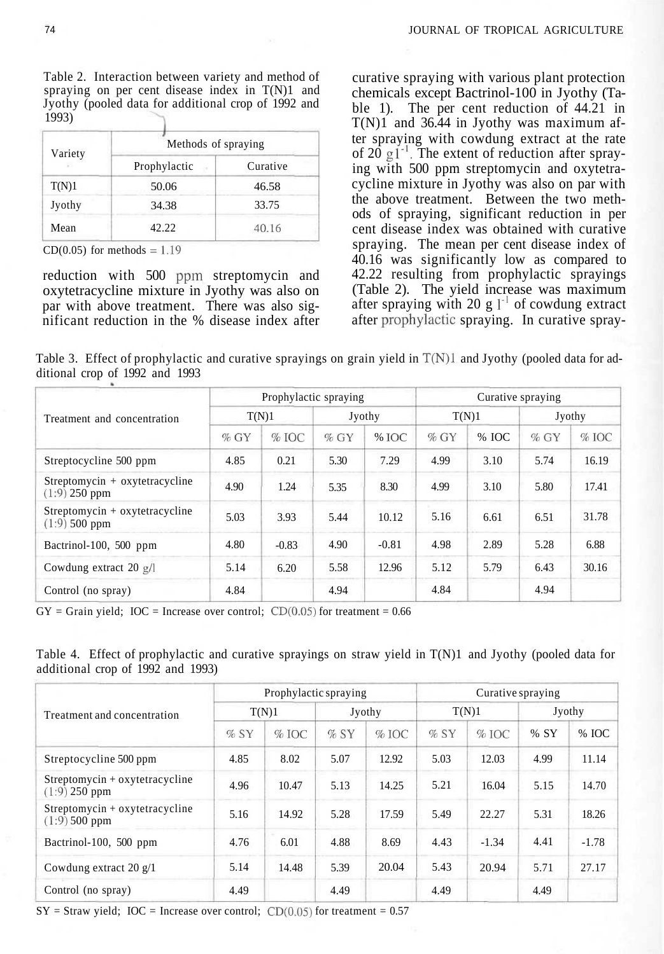Table 2. Interaction between variety and method of spraying on per cent disease index in T(N)1 and Jyothy (pooled data for additional crop of 1992 and 1993)

| Variety | Methods of spraying |          |  |  |  |  |  |
|---------|---------------------|----------|--|--|--|--|--|
| r.      | Prophylactic        | Curative |  |  |  |  |  |
| T(N)1   | 50.06               | 46.58    |  |  |  |  |  |
| Jyothy  | 34.38               | 33.75    |  |  |  |  |  |
| Mean    | 42.22               | 40.16    |  |  |  |  |  |

 $CD(0.05)$  for methods = 1.19

reduction with 500 ppm streptomycin and oxytetracycline mixture in Jyothy was also on par with above treatment. There was also significant reduction in the % disease index after curative spraying with various plant protection chemicals except Bactrinol-100 in Jyothy (Table 1). The per cent reduction of 44.21 in T(N)1 and 36.44 in Jyothy was maximum after spraying with cowdung extract at the rate of 20  $g1^{-1}$ . The extent of reduction after spraying with 500 ppm streptomycin and oxytetracycline mixture in Jyothy was also on par with the above treatment. Between the two methods of spraying, significant reduction in per cent disease index was obtained with curative spraying. The mean per cent disease index of 40.16 was significantly low as compared to 42.22 resulting from prophylactic sprayings (Table 2). The yield increase was maximum after spraying with 20 g  $1^{-1}$  of cowdung extract after prophylactic spraying. In curative spray-

Table 3. Effect of prophylactic and curative sprayings on grain yield in  $T(N)1$  and Jyothy (pooled data for additional crop of 1992 and 1993

|                                                         |        | Prophylactic spraying |        |         | Curative spraying |       |        |       |  |  |
|---------------------------------------------------------|--------|-----------------------|--------|---------|-------------------|-------|--------|-------|--|--|
| Treatment and concentration                             |        | T(N)1                 |        | Jyothy  |                   | T(N)1 | Jyothy |       |  |  |
|                                                         | $%$ GY | $%$ IOC               | $%$ GY | % IOC   | $%$ GY            | % IOC | $%$ GY | % IOC |  |  |
| Streptocycline 500 ppm                                  | 4.85   | 0.21                  | 5.30   | 7.29    | 4.99              | 3.10  | 5.74   | 16.19 |  |  |
| $Streptomycin + oxytetracycline$<br>$(1:9)$ 250 ppm     | 4.90   | 1.24                  | 5.35   | 8.30    | 4.99              | 3.10  | 5.80   | 17.41 |  |  |
| $Streptomycin + oxytetrac{veline}{}$<br>$(1:9)$ 500 ppm | 5.03   | 3.93                  | 5.44   | 10.12   | 5.16              | 6.61  | 6.51   | 31.78 |  |  |
| Bactrinol-100, 500 ppm                                  | 4.80   | $-0.83$               | 4.90   | $-0.81$ | 4.98              | 2.89  | 5.28   | 6.88  |  |  |
| Cowdung extract 20 $g/$                                 | 5.14   |                       | 5.58   | 12.96   | 5.12              | 5.79  | 6.43   | 30.16 |  |  |
| Control (no spray)                                      | 4.84   |                       | 4.94   |         | 4.84              |       | 4.94   |       |  |  |

 $GY =$  Grain yield;  $IOC =$  Increase over control;  $CD(0.05)$  for treatment = 0.66

|  | Table 4. Effect of prophylactic and curative sprayings on straw yield in T(N)1 and Jyothy (pooled data for |  |  |  |  |  |
|--|------------------------------------------------------------------------------------------------------------|--|--|--|--|--|
|  | additional crop of 1992 and 1993)                                                                          |  |  |  |  |  |

|                                                     |        | Prophylactic spraying |        |         | Curative spraying |         |        |         |  |
|-----------------------------------------------------|--------|-----------------------|--------|---------|-------------------|---------|--------|---------|--|
| Treatment and concentration                         |        | T(N)1                 |        | Jyothy  |                   | T(N)1   | Jyothy |         |  |
|                                                     | $%$ SY | $%$ IOC               | $%$ SY | $%$ IOC | $%$ SY            | $%$ IOC | % SY   | % IOC   |  |
| Streptocycline 500 ppm                              | 4.85   | 8.02                  | 5.07   | 12.92   | 5.03              | 12.03   | 4.99   | 11.14   |  |
| $Streptomycin + oxytetracycline$<br>$(1:9)$ 250 ppm | 4.96   | 10.47                 | 5.13   | 14.25   | 5.21              | 16.04   | 5.15   | 14.70   |  |
| $Streptomycin + oxytetracycline$<br>$(1:9)$ 500 ppm | 5.16   | 14.92                 | 5.28   | 17.59   | 5.49              | 22.27   | 5.31   | 18.26   |  |
| Bactrinol-100, 500 ppm                              | 4.76   | 6.01                  | 4.88   | 8.69    | 4.43              | $-1.34$ | 4.41   | $-1.78$ |  |
| Cowdung extract 20 $g/1$                            | 5.14   | 14.48                 | 5.39   | 20.04   | 5.43              | 20.94   | 5.71   | 27.17   |  |
| Control (no spray)                                  | 4.49   |                       | 4.49   |         | 4.49              |         | 4.49   |         |  |

 $SY =$  Straw yield; IOC = Increase over control;  $CD(0.05)$  for treatment = 0.57